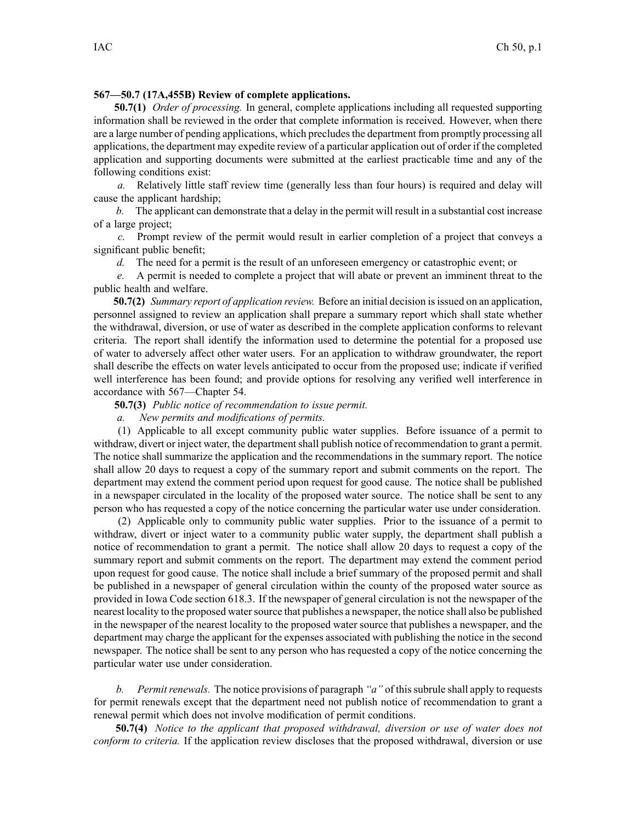## **567—50.7 (17A,455B) Review of complete applications.**

**50.7(1)** *Order of processing.* In general, complete applications including all requested supporting information shall be reviewed in the order that complete information is received. However, when there are a large number of pending applications, which precludes the department from promptly processing all applications, the department may expedite review of <sup>a</sup> particular application out of order if the completed application and supporting documents were submitted at the earliest practicable time and any of the following conditions exist:

*a.* Relatively little staff review time (generally less than four hours) is required and delay will cause the applicant hardship;

*b.* The applicant can demonstrate that <sup>a</sup> delay in the permit will result in <sup>a</sup> substantial cost increase of <sup>a</sup> large project;

*c.* Prompt review of the permit would result in earlier completion of <sup>a</sup> project that conveys <sup>a</sup> significant public benefit;

*d.* The need for <sup>a</sup> permit is the result of an unforeseen emergency or catastrophic event; or

*e.* A permit is needed to complete <sup>a</sup> project that will abate or preven<sup>t</sup> an imminent threat to the public health and welfare.

**50.7(2)** *Summary repor<sup>t</sup> of application review.* Before an initial decision isissued on an application, personnel assigned to review an application shall prepare <sup>a</sup> summary repor<sup>t</sup> which shall state whether the withdrawal, diversion, or use of water as described in the complete application conforms to relevant criteria. The repor<sup>t</sup> shall identify the information used to determine the potential for <sup>a</sup> proposed use of water to adversely affect other water users. For an application to withdraw groundwater, the repor<sup>t</sup> shall describe the effects on water levels anticipated to occur from the proposed use; indicate if verified well interference has been found; and provide options for resolving any verified well interference in accordance with 567—Chapter 54.

**50.7(3)** *Public notice of recommendation to issue permit.*

*a. New permits and modifications of permits.*

(1) Applicable to all excep<sup>t</sup> community public water supplies. Before issuance of <sup>a</sup> permit to withdraw, divert or inject water, the department shall publish notice of recommendation to grant a permit. The notice shall summarize the application and the recommendations in the summary report. The notice shall allow 20 days to reques<sup>t</sup> <sup>a</sup> copy of the summary repor<sup>t</sup> and submit comments on the report. The department may extend the comment period upon reques<sup>t</sup> for good cause. The notice shall be published in <sup>a</sup> newspaper circulated in the locality of the proposed water source. The notice shall be sent to any person who has requested <sup>a</sup> copy of the notice concerning the particular water use under consideration.

(2) Applicable only to community public water supplies. Prior to the issuance of <sup>a</sup> permit to withdraw, divert or inject water to <sup>a</sup> community public water supply, the department shall publish <sup>a</sup> notice of recommendation to gran<sup>t</sup> <sup>a</sup> permit. The notice shall allow 20 days to reques<sup>t</sup> <sup>a</sup> copy of the summary repor<sup>t</sup> and submit comments on the report. The department may extend the comment period upon reques<sup>t</sup> for good cause. The notice shall include <sup>a</sup> brief summary of the proposed permit and shall be published in <sup>a</sup> newspaper of general circulation within the county of the proposed water source as provided in Iowa Code section [618.3](https://www.legis.iowa.gov/docs/ico/section/618.3.pdf). If the newspaper of general circulation is not the newspaper of the nearest locality to the proposed watersource that publishes <sup>a</sup> newspaper, the notice shall also be published in the newspaper of the nearest locality to the proposed water source that publishes <sup>a</sup> newspaper, and the department may charge the applicant for the expenses associated with publishing the notice in the second newspaper. The notice shall be sent to any person who has requested <sup>a</sup> copy of the notice concerning the particular water use under consideration.

*b. Permitrenewals.* The notice provisions of paragraph *"a"* of thissubrule shall apply to requests for permit renewals excep<sup>t</sup> that the department need not publish notice of recommendation to gran<sup>t</sup> <sup>a</sup> renewal permit which does not involve modification of permit conditions.

**50.7(4)** *Notice to the applicant that proposed withdrawal, diversion or use of water does not conform to criteria.* If the application review discloses that the proposed withdrawal, diversion or use